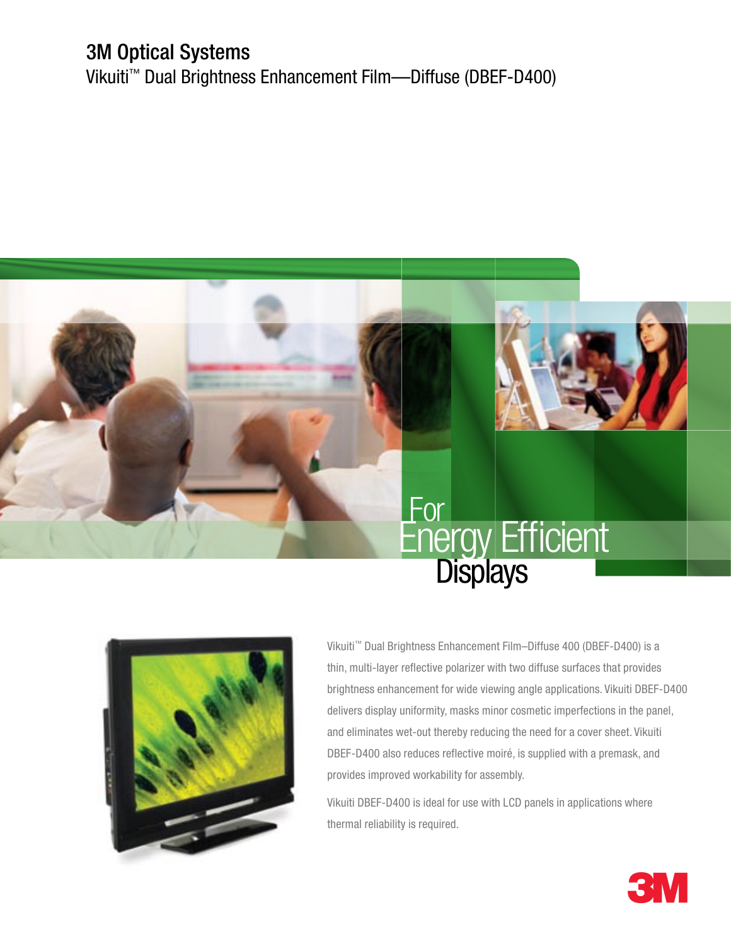## 3M Optical Systems

Vikuiti™ Dual Brightness Enhancement Film—Diffuse (DBEF-D400)





Vikuiti™ Dual Brightness Enhancement Film–Diffuse 400 (DBEF-D400) is a thin, multi-layer reflective polarizer with two diffuse surfaces that provides brightness enhancement for wide viewing angle applications. Vikuiti DBEF-D400 delivers display uniformity, masks minor cosmetic imperfections in the panel, and eliminates wet-out thereby reducing the need for a cover sheet. Vikuiti DBEF-D400 also reduces reflective moiré, is supplied with a premask, and provides improved workability for assembly.

Vikuiti DBEF-D400 is ideal for use with LCD panels in applications where thermal reliability is required.

3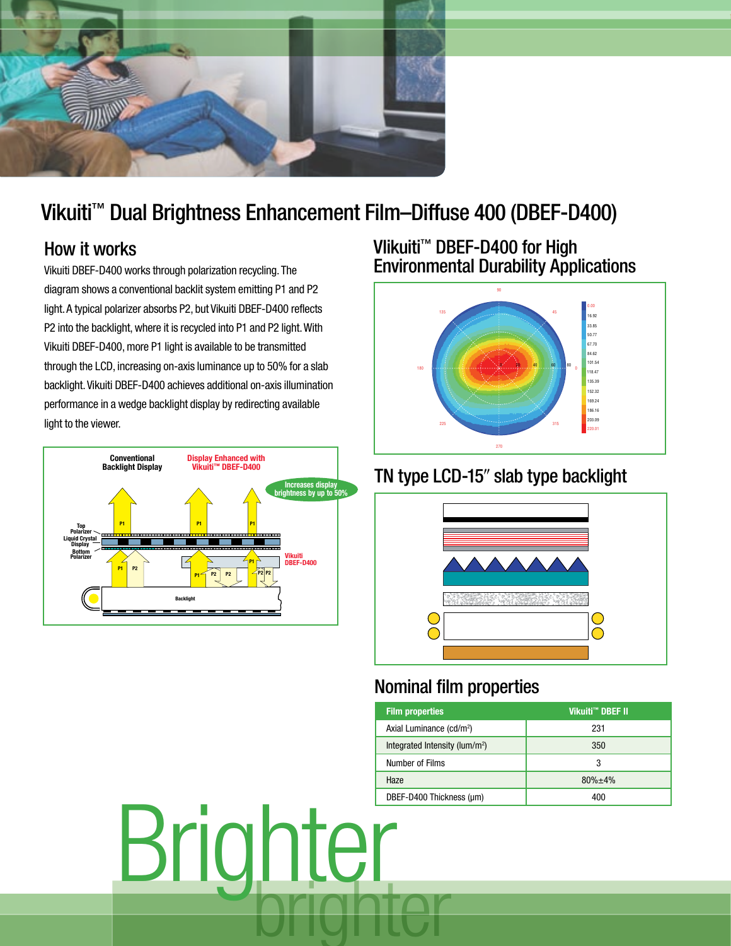

# Vikuiti™ Dual Brightness Enhancement Film–Diffuse 400 (DBEF-D400)

#### How it works

Vikuiti DBEF-D400 works through polarization recycling. The diagram shows a conventional backlit system emitting P1 and P2 light. A typical polarizer absorbs P2, but Vikuiti DBEF-D400 reflects P2 into the backlight, where it is recycled into P1 and P2 light. With Vikuiti DBEF-D400, more P1 light is available to be transmitted through the LCD, increasing on-axis luminance up to 50% for a slab backlight. Vikuiti DBEF-D400 achieves additional on-axis illumination performance in a wedge backlight display by redirecting available light to the viewer.



#### VIikuiti™ DBEF-D400 for High **Environmental Durability Applications**



### TN type LCD-15" slab type backlight



#### Nominal film properties

| Vikuiti <sup>™</sup> DBEF II | <b>Film properties</b>                     |          |  |
|------------------------------|--------------------------------------------|----------|--|
| 231                          | Axial Luminance (cd/m <sup>2</sup> )       |          |  |
| 350                          | Integrated Intensity (lum/m <sup>2</sup> ) |          |  |
| 3                            | Number of Films                            |          |  |
| 80%±4%                       | Haze                                       |          |  |
| 400                          | DBEF-D400 Thickness (µm)                   |          |  |
|                              |                                            | Brighter |  |
|                              |                                            |          |  |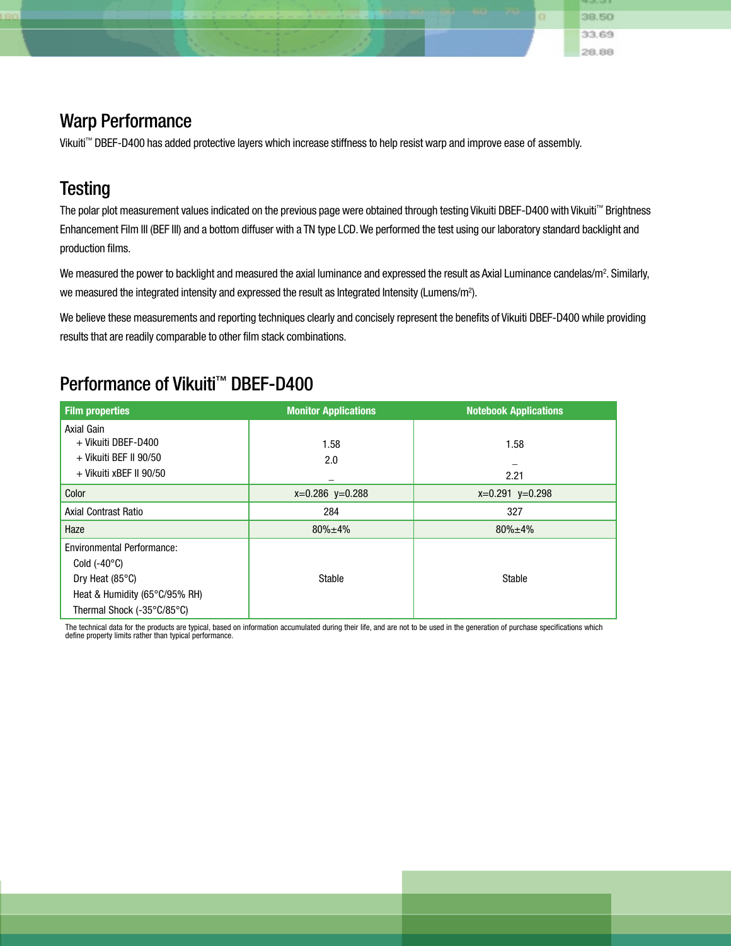Warp Performance Vikuiti™ DBEF-D400 has added protective layers which increase stiffness to help resist warp and improve ease of assembly.

### **Testing**

The polar plot measurement values indicated on the previous page were obtained through testing Vikuiti DBEF-D400 with Vikuiti™ Brightness Enhancement Film III (BEF III) and a bottom diffuser with a TN type LCD. We performed the test using our laboratory standard backlight and production films.

o.

38.50 33.69 28.88

We measured the power to backlight and measured the axial luminance and expressed the result as Axial Luminance candelas/m². Similarly, we measured the integrated intensity and expressed the result as Integrated Intensity (Lumens/m<sup>2</sup>).

We believe these measurements and reporting techniques clearly and concisely represent the benefits of Vikuiti DBEF-D400 while providing results that are readily comparable to other film stack combinations.

#### Performance of Vikuiti<sup>™</sup> DBEF-D400

| <b>Film properties</b>            | <b>Monitor Applications</b> | <b>Notebook Applications</b> |
|-----------------------------------|-----------------------------|------------------------------|
| Axial Gain                        |                             |                              |
| + Vikuiti DBEF-D400               | 1.58                        | 1.58                         |
| + Vikuiti BEF II 90/50            | 2.0                         |                              |
| + Vikuiti xBEF II 90/50           |                             | 2.21                         |
| Color                             | $x=0.286$ $y=0.288$         | $x=0.291$ $y=0.298$          |
| <b>Axial Contrast Ratio</b>       | 284                         | 327                          |
| Haze                              | $80\% \pm 4\%$              | $80\% \pm 4\%$               |
| <b>Environmental Performance:</b> |                             |                              |
| Cold $(-40^{\circ}C)$             |                             |                              |
| Dry Heat $(85^{\circ}C)$          | Stable                      | Stable                       |
| Heat & Humidity (65°C/95% RH)     |                             |                              |
| Thermal Shock (-35°C/85°C)        |                             |                              |

The technical data for the products are typical, based on information accumulated during their life, and are not to be used in the generation of purchase specifications which define property limits rather than typical performance.